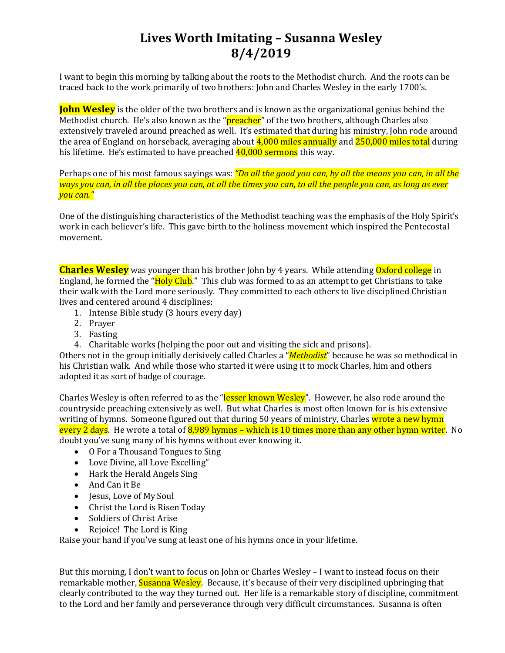# **Lives Worth Imitating – Susanna Wesley 8/4/2019**

I want to begin this morning by talking about the roots to the Methodist church. And the roots can be traced back to the work primarily of two brothers: John and Charles Wesley in the early 1700's.

**John Wesley** is the older of the two brothers and is known as the organizational genius behind the Methodist church. He's also known as the "**preacher**" of the two brothers, although Charles also extensively traveled around preached as well. It's estimated that during his ministry, John rode around the area of England on horseback, averaging about 4,000 miles annually and 250,000 miles total during his lifetime. He's estimated to have preached  $40,000$  sermons this way.

Perhaps one of his most famous sayings was: *"Do all the good you can, by all the means you can, in all the ways you can, in all the places you can, at all the times you can, to all the people you can, as long as ever you can."*

One of the distinguishing characteristics of the Methodist teaching was the emphasis of the Holy Spirit's work in each believer's life. This gave birth to the holiness movement which inspired the Pentecostal movement.

**Charles Wesley** was younger than his brother John by 4 years. While attending **Oxford college** in England, he formed the "Holy Club." This club was formed to as an attempt to get Christians to take their walk with the Lord more seriously. They committed to each others to live disciplined Christian lives and centered around 4 disciplines:

- 1. Intense Bible study (3 hours every day)
- 2. Prayer
- 3. Fasting
- 4. Charitable works (helping the poor out and visiting the sick and prisons).

Others not in the group initially derisively called Charles a "*Methodist*" because he was so methodical in his Christian walk. And while those who started it were using it to mock Charles, him and others adopted it as sort of badge of courage.

Charles Wesley is often referred to as the "lesser known Wesley". However, he also rode around the countryside preaching extensively as well. But what Charles is most often known for is his extensive writing of hymns. Someone figured out that during 50 years of ministry, Charles wrote a new hymn every 2 days. He wrote a total of  $8,989$  hymns – which is 10 times more than any other hymn writer. No doubt you've sung many of his hymns without ever knowing it.

- O For a Thousand Tongues to Sing
- Love Divine, all Love Excelling"
- Hark the Herald Angels Sing
- And Can it Be
- Jesus, Love of My Soul
- Christ the Lord is Risen Today
- Soldiers of Christ Arise
- Rejoice! The Lord is King

Raise your hand if you've sung at least one of his hymns once in your lifetime.

But this morning, I don't want to focus on John or Charles Wesley – I want to instead focus on their remarkable mother, Susanna Wesley. Because, it's because of their very disciplined upbringing that clearly contributed to the way they turned out. Her life is a remarkable story of discipline, commitment to the Lord and her family and perseverance through very difficult circumstances. Susanna is often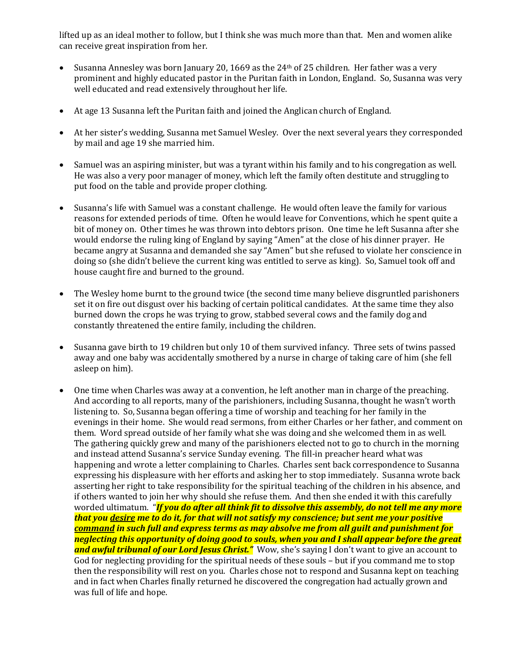lifted up as an ideal mother to follow, but I think she was much more than that. Men and women alike can receive great inspiration from her.

- Susanna Annesley was born January 20, 1669 as the 24th of 25 children. Her father was a very prominent and highly educated pastor in the Puritan faith in London, England. So, Susanna was very well educated and read extensively throughout her life.
- At age 13 Susanna left the Puritan faith and joined the Anglican church of England.
- At her sister's wedding, Susanna met Samuel Wesley. Over the next several years they corresponded by mail and age 19 she married him.
- Samuel was an aspiring minister, but was a tyrant within his family and to his congregation as well. He was also a very poor manager of money, which left the family often destitute and struggling to put food on the table and provide proper clothing.
- Susanna's life with Samuel was a constant challenge. He would often leave the family for various reasons for extended periods of time. Often he would leave for Conventions, which he spent quite a bit of money on. Other times he was thrown into debtors prison. One time he left Susanna after she would endorse the ruling king of England by saying "Amen" at the close of his dinner prayer. He became angry at Susanna and demanded she say "Amen" but she refused to violate her conscience in doing so (she didn't believe the current king was entitled to serve as king). So, Samuel took off and house caught fire and burned to the ground.
- The Wesley home burnt to the ground twice (the second time many believe disgruntled parishoners set it on fire out disgust over his backing of certain political candidates. At the same time they also burned down the crops he was trying to grow, stabbed several cows and the family dog and constantly threatened the entire family, including the children.
- Susanna gave birth to 19 children but only 10 of them survived infancy. Three sets of twins passed away and one baby was accidentally smothered by a nurse in charge of taking care of him (she fell asleep on him).
- One time when Charles was away at a convention, he left another man in charge of the preaching. And according to all reports, many of the parishioners, including Susanna, thought he wasn't worth listening to. So, Susanna began offering a time of worship and teaching for her family in the evenings in their home. She would read sermons, from either Charles or her father, and comment on them. Word spread outside of her family what she was doing and she welcomed them in as well. The gathering quickly grew and many of the parishioners elected not to go to church in the morning and instead attend Susanna's service Sunday evening. The fill-in preacher heard what was happening and wrote a letter complaining to Charles. Charles sent back correspondence to Susanna expressing his displeasure with her efforts and asking her to stop immediately. Susanna wrote back asserting her right to take responsibility for the spiritual teaching of the children in his absence, and if others wanted to join her why should she refuse them. And then she ended it with this carefully worded ultimatum. "*If you do after all think fit to dissolve this assembly, do not tell me any more that you desire me to do it, for that will not satisfy my conscience; but sent me your positive command in such full and express terms as may absolve me from all guilt and punishment for neglecting this opportunity of doing good to souls, when you and I shall appear before the great and awful tribunal of our Lord Jesus Christ."* Wow, she's saying I don't want to give an account to God for neglecting providing for the spiritual needs of these souls – but if you command me to stop then the responsibility will rest on you. Charles chose not to respond and Susanna kept on teaching and in fact when Charles finally returned he discovered the congregation had actually grown and was full of life and hope.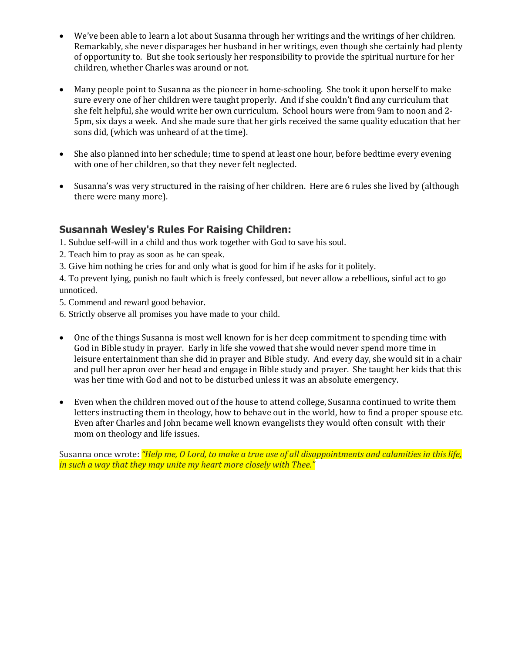- We've been able to learn a lot about Susanna through her writings and the writings of her children. Remarkably, she never disparages her husband in her writings, even though she certainly had plenty of opportunity to. But she took seriously her responsibility to provide the spiritual nurture for her children, whether Charles was around or not.
- Many people point to Susanna as the pioneer in home-schooling. She took it upon herself to make sure every one of her children were taught properly. And if she couldn't find any curriculum that she felt helpful, she would write her own curriculum. School hours were from 9am to noon and 2- 5pm, six days a week. And she made sure that her girls received the same quality education that her sons did, (which was unheard of at the time).
- She also planned into her schedule; time to spend at least one hour, before bedtime every evening with one of her children, so that they never felt neglected.
- Susanna's was very structured in the raising of her children. Here are 6 rules she lived by (although there were many more).

### **Susannah Wesley's Rules For Raising Children:**

- 1. Subdue self-will in a child and thus work together with God to save his soul.
- 2. Teach him to pray as soon as he can speak.
- 3. Give him nothing he cries for and only what is good for him if he asks for it politely.

4. To prevent lying, punish no fault which is freely confessed, but never allow a rebellious, sinful act to go unnoticed.

- 5. Commend and reward good behavior.
- 6. Strictly observe all promises you have made to your child.
- One of the things Susanna is most well known for is her deep commitment to spending time with God in Bible study in prayer. Early in life she vowed that she would never spend more time in leisure entertainment than she did in prayer and Bible study. And every day, she would sit in a chair and pull her apron over her head and engage in Bible study and prayer. She taught her kids that this was her time with God and not to be disturbed unless it was an absolute emergency.
- Even when the children moved out of the house to attend college, Susanna continued to write them letters instructing them in theology, how to behave out in the world, how to find a proper spouse etc. Even after Charles and John became well known evangelists they would often consult with their mom on theology and life issues.

Susanna once wrote: *"Help me, O Lord, to make a true use of all disappointments and calamities in this life, in such a way that they may unite my heart more closely with Thee."*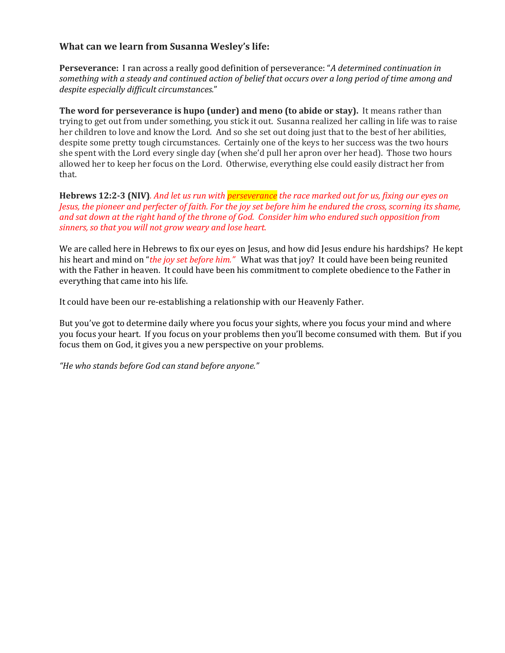#### **What can we learn from Susanna Wesley's life:**

**Perseverance:** I ran across a really good definition of perseverance: "*A determined continuation in something with a steady and continued action of belief that occurs over a long period of time among and despite especially difficult circumstances.*"

**The word for perseverance is hupo (under) and meno (to abide or stay).** It means rather than trying to get out from under something, you stick it out. Susanna realized her calling in life was to raise her children to love and know the Lord. And so she set out doing just that to the best of her abilities, despite some pretty tough circumstances. Certainly one of the keys to her success was the two hours she spent with the Lord every single day (when she'd pull her apron over her head). Those two hours allowed her to keep her focus on the Lord. Otherwise, everything else could easily distract her from that.

**Hebrews 12:2-3 (NIV)***. And let us run with perseverance the race marked out for us, fixing our eyes on Jesus, the pioneer and perfecter of faith. For the joy set before him he endured the cross, scorning its shame, and sat down at the right hand of the throne of God. Consider him who endured such opposition from sinners, so that you will not grow weary and lose heart.*

We are called here in Hebrews to fix our eyes on Jesus, and how did Jesus endure his hardships? He kept his heart and mind on "*the joy set before him."* What was that joy? It could have been being reunited with the Father in heaven. It could have been his commitment to complete obedience to the Father in everything that came into his life.

It could have been our re-establishing a relationship with our Heavenly Father.

But you've got to determine daily where you focus your sights, where you focus your mind and where you focus your heart. If you focus on your problems then you'll become consumed with them. But if you focus them on God, it gives you a new perspective on your problems.

*"He who stands before God can stand before anyone."*